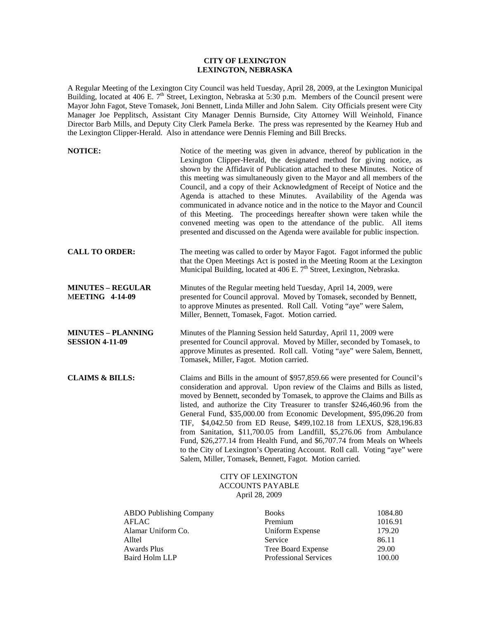## **CITY OF LEXINGTON LEXINGTON, NEBRASKA**

A Regular Meeting of the Lexington City Council was held Tuesday, April 28, 2009, at the Lexington Municipal Building, located at 406 E. 7<sup>th</sup> Street, Lexington, Nebraska at 5:30 p.m. Members of the Council present were Mayor John Fagot, Steve Tomasek, Joni Bennett, Linda Miller and John Salem. City Officials present were City Manager Joe Pepplitsch, Assistant City Manager Dennis Burnside, City Attorney Will Weinhold, Finance Director Barb Mills, and Deputy City Clerk Pamela Berke. The press was represented by the Kearney Hub and the Lexington Clipper-Herald. Also in attendance were Dennis Fleming and Bill Brecks.

| <b>NOTICE:</b>                                                          |                                                                                                                                                                                                                                                                                                                                                                                                                                                                                                                                                                                                                                                                                                                                                                   | Notice of the meeting was given in advance, thereof by publication in the<br>Lexington Clipper-Herald, the designated method for giving notice, as<br>shown by the Affidavit of Publication attached to these Minutes. Notice of<br>this meeting was simultaneously given to the Mayor and all members of the<br>Council, and a copy of their Acknowledgment of Receipt of Notice and the<br>Agenda is attached to these Minutes. Availability of the Agenda was<br>communicated in advance notice and in the notice to the Mayor and Council<br>of this Meeting. The proceedings hereafter shown were taken while the<br>convened meeting was open to the attendance of the public. All items<br>presented and discussed on the Agenda were available for public inspection. |                                       |
|-------------------------------------------------------------------------|-------------------------------------------------------------------------------------------------------------------------------------------------------------------------------------------------------------------------------------------------------------------------------------------------------------------------------------------------------------------------------------------------------------------------------------------------------------------------------------------------------------------------------------------------------------------------------------------------------------------------------------------------------------------------------------------------------------------------------------------------------------------|-------------------------------------------------------------------------------------------------------------------------------------------------------------------------------------------------------------------------------------------------------------------------------------------------------------------------------------------------------------------------------------------------------------------------------------------------------------------------------------------------------------------------------------------------------------------------------------------------------------------------------------------------------------------------------------------------------------------------------------------------------------------------------|---------------------------------------|
| <b>CALL TO ORDER:</b>                                                   |                                                                                                                                                                                                                                                                                                                                                                                                                                                                                                                                                                                                                                                                                                                                                                   | The meeting was called to order by Mayor Fagot. Fagot informed the public<br>that the Open Meetings Act is posted in the Meeting Room at the Lexington<br>Municipal Building, located at 406 E. 7 <sup>th</sup> Street, Lexington, Nebraska.                                                                                                                                                                                                                                                                                                                                                                                                                                                                                                                                  |                                       |
| <b>MINUTES – REGULAR</b><br><b>MEETING 4-14-09</b>                      | Minutes of the Regular meeting held Tuesday, April 14, 2009, were<br>presented for Council approval. Moved by Tomasek, seconded by Bennett,<br>to approve Minutes as presented. Roll Call. Voting "aye" were Salem,<br>Miller, Bennett, Tomasek, Fagot. Motion carried.                                                                                                                                                                                                                                                                                                                                                                                                                                                                                           |                                                                                                                                                                                                                                                                                                                                                                                                                                                                                                                                                                                                                                                                                                                                                                               |                                       |
| <b>MINUTES - PLANNING</b><br><b>SESSION 4-11-09</b>                     | Minutes of the Planning Session held Saturday, April 11, 2009 were<br>presented for Council approval. Moved by Miller, seconded by Tomasek, to<br>approve Minutes as presented. Roll call. Voting "aye" were Salem, Bennett,<br>Tomasek, Miller, Fagot. Motion carried.                                                                                                                                                                                                                                                                                                                                                                                                                                                                                           |                                                                                                                                                                                                                                                                                                                                                                                                                                                                                                                                                                                                                                                                                                                                                                               |                                       |
| <b>CLAIMS &amp; BILLS:</b>                                              | Claims and Bills in the amount of \$957,859.66 were presented for Council's<br>consideration and approval. Upon review of the Claims and Bills as listed,<br>moved by Bennett, seconded by Tomasek, to approve the Claims and Bills as<br>listed, and authorize the City Treasurer to transfer \$246,460.96 from the<br>General Fund, \$35,000.00 from Economic Development, \$95,096.20 from<br>TIF, \$4,042.50 from ED Reuse, \$499,102.18 from LEXUS, \$28,196.83<br>from Sanitation, \$11,700.05 from Landfill, \$5,276.06 from Ambulance<br>Fund, \$26,277.14 from Health Fund, and \$6,707.74 from Meals on Wheels<br>to the City of Lexington's Operating Account. Roll call. Voting "aye" were<br>Salem, Miller, Tomasek, Bennett, Fagot. Motion carried. |                                                                                                                                                                                                                                                                                                                                                                                                                                                                                                                                                                                                                                                                                                                                                                               |                                       |
|                                                                         |                                                                                                                                                                                                                                                                                                                                                                                                                                                                                                                                                                                                                                                                                                                                                                   | <b>CITY OF LEXINGTON</b><br><b>ACCOUNTS PAYABLE</b><br>April 28, 2009                                                                                                                                                                                                                                                                                                                                                                                                                                                                                                                                                                                                                                                                                                         |                                       |
| <b>ABDO Publishing Company</b><br>AFLAC<br>Alamar Uniform Co.<br>Alltel |                                                                                                                                                                                                                                                                                                                                                                                                                                                                                                                                                                                                                                                                                                                                                                   | <b>Books</b><br>Premium<br><b>Uniform Expense</b><br>Service                                                                                                                                                                                                                                                                                                                                                                                                                                                                                                                                                                                                                                                                                                                  | 1084.80<br>1016.91<br>179.20<br>86.11 |

Awards Plus Tree Board Expense 29.00 Baird Holm LLP Professional Services 100.00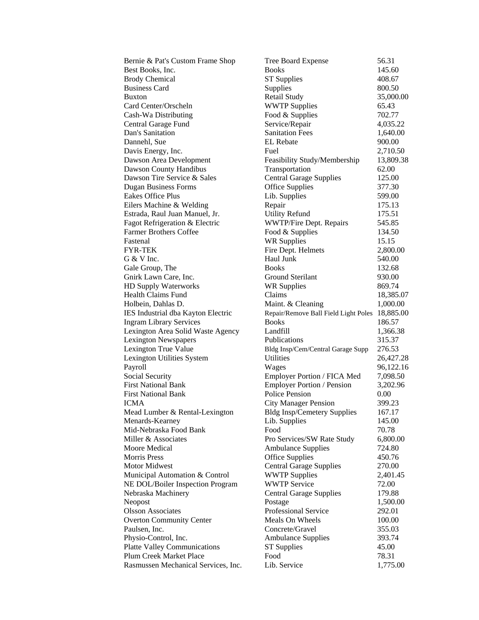| Bernie & Pat's Custom Frame Shop    | Tree Board Expense                   | 56.31     |
|-------------------------------------|--------------------------------------|-----------|
| Best Books, Inc.                    | <b>Books</b>                         | 145.60    |
| <b>Brody Chemical</b>               | <b>ST Supplies</b>                   | 408.67    |
| <b>Business Card</b>                | Supplies                             | 800.50    |
| <b>Buxton</b>                       | Retail Study                         | 35,000.00 |
| Card Center/Orscheln                | <b>WWTP Supplies</b>                 | 65.43     |
| Cash-Wa Distributing                | Food & Supplies                      | 702.77    |
| Central Garage Fund                 | Service/Repair                       | 4,035.22  |
| Dan's Sanitation                    | <b>Sanitation Fees</b>               | 1,640.00  |
| Dannehl, Sue                        | <b>EL</b> Rebate                     | 900.00    |
| Davis Energy, Inc.                  | Fuel                                 | 2,710.50  |
| Dawson Area Development             | Feasibility Study/Membership         | 13,809.38 |
| Dawson County Handibus              | Transportation                       | 62.00     |
| Dawson Tire Service & Sales         | <b>Central Garage Supplies</b>       | 125.00    |
| <b>Dugan Business Forms</b>         | <b>Office Supplies</b>               | 377.30    |
| <b>Eakes Office Plus</b>            | Lib. Supplies                        | 599.00    |
| Eilers Machine & Welding            | Repair                               | 175.13    |
| Estrada, Raul Juan Manuel, Jr.      | <b>Utility Refund</b>                | 175.51    |
| Fagot Refrigeration & Electric      | WWTP/Fire Dept. Repairs              | 545.85    |
| <b>Farmer Brothers Coffee</b>       | Food & Supplies                      | 134.50    |
| Fastenal                            | <b>WR Supplies</b>                   | 15.15     |
| FYR-TEK                             | Fire Dept. Helmets                   | 2,800.00  |
| G & V Inc.                          | Haul Junk                            | 540.00    |
| Gale Group, The                     | <b>Books</b>                         | 132.68    |
| Gnirk Lawn Care, Inc.               | <b>Ground Sterilant</b>              | 930.00    |
| <b>HD Supply Waterworks</b>         | WR Supplies                          | 869.74    |
| Health Claims Fund                  | Claims                               | 18,385.07 |
| Holbein, Dahlas D.                  | Maint. & Cleaning                    | 1,000.00  |
| IES Industrial dba Kayton Electric  | Repair/Remove Ball Field Light Poles | 18,885.00 |
| <b>Ingram Library Services</b>      | <b>Books</b>                         | 186.57    |
| Lexington Area Solid Waste Agency   | Landfill                             | 1,366.38  |
| <b>Lexington Newspapers</b>         | Publications                         | 315.37    |
| Lexington True Value                | Bldg Insp/Cem/Central Garage Supp    | 276.53    |
| Lexington Utilities System          | <b>Utilities</b>                     | 26,427.28 |
| Payroll                             | Wages                                | 96,122.16 |
| Social Security                     | Employer Portion / FICA Med          | 7,098.50  |
| <b>First National Bank</b>          | <b>Employer Portion / Pension</b>    | 3,202.96  |
| <b>First National Bank</b>          | <b>Police Pension</b>                | 0.00      |
| ICMA                                | <b>City Manager Pension</b>          | 399.23    |
| Mead Lumber & Rental-Lexington      | <b>Bldg Insp/Cemetery Supplies</b>   | 167.17    |
| Menards-Kearney                     | Lib. Supplies                        | 145.00    |
| Mid-Nebraska Food Bank              | Food                                 | 70.78     |
| Miller & Associates                 | Pro Services/SW Rate Study           | 6,800.00  |
| Moore Medical                       | <b>Ambulance Supplies</b>            | 724.80    |
| <b>Morris Press</b>                 | <b>Office Supplies</b>               | 450.76    |
| <b>Motor Midwest</b>                | <b>Central Garage Supplies</b>       | 270.00    |
| Municipal Automation & Control      | <b>WWTP Supplies</b>                 | 2,401.45  |
| NE DOL/Boiler Inspection Program    | <b>WWTP Service</b>                  | 72.00     |
| Nebraska Machinery                  | <b>Central Garage Supplies</b>       | 179.88    |
| Neopost                             | Postage                              | 1,500.00  |
| <b>Olsson Associates</b>            | Professional Service                 | 292.01    |
| <b>Overton Community Center</b>     | Meals On Wheels                      | 100.00    |
| Paulsen, Inc.                       | Concrete/Gravel                      | 355.03    |
| Physio-Control, Inc.                | <b>Ambulance Supplies</b>            | 393.74    |
| <b>Platte Valley Communications</b> | <b>ST Supplies</b>                   | 45.00     |
| Plum Creek Market Place             | Food                                 | 78.31     |
| Rasmussen Mechanical Services, Inc. | Lib. Service                         | 1,775.00  |
|                                     |                                      |           |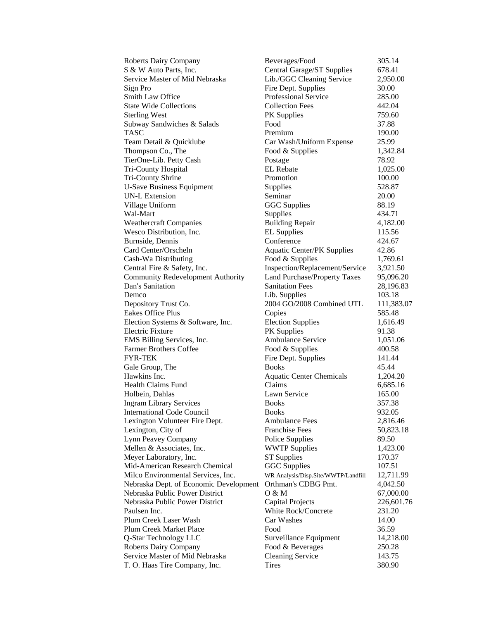| <b>Roberts Dairy Company</b>             | Beverages/Food                      | 305.14     |
|------------------------------------------|-------------------------------------|------------|
| S & W Auto Parts, Inc.                   | Central Garage/ST Supplies          | 678.41     |
| Service Master of Mid Nebraska           | Lib./GGC Cleaning Service           | 2,950.00   |
| Sign Pro                                 | Fire Dept. Supplies                 | 30.00      |
| Smith Law Office                         | Professional Service                | 285.00     |
| <b>State Wide Collections</b>            | <b>Collection Fees</b>              | 442.04     |
| <b>Sterling West</b>                     | PK Supplies                         | 759.60     |
| Subway Sandwiches & Salads               | Food                                | 37.88      |
| TASC                                     | Premium                             | 190.00     |
| Team Detail & Quicklube                  | Car Wash/Uniform Expense            | 25.99      |
| Thompson Co., The                        | Food & Supplies                     | 1,342.84   |
| TierOne-Lib. Petty Cash                  | Postage                             | 78.92      |
| Tri-County Hospital                      | <b>EL</b> Rebate                    | 1,025.00   |
| Tri-County Shrine                        | Promotion                           | 100.00     |
| <b>U-Save Business Equipment</b>         | Supplies                            | 528.87     |
| <b>UN-L Extension</b>                    | Seminar                             | 20.00      |
| Village Uniform                          | <b>GGC</b> Supplies                 | 88.19      |
| Wal-Mart                                 | Supplies                            | 434.71     |
| <b>Weathercraft Companies</b>            | <b>Building Repair</b>              | 4,182.00   |
|                                          |                                     |            |
| Wesco Distribution, Inc.                 | <b>EL Supplies</b>                  | 115.56     |
| Burnside, Dennis                         | Conference                          | 424.67     |
| Card Center/Orscheln                     | <b>Aquatic Center/PK Supplies</b>   | 42.86      |
| Cash-Wa Distributing                     | Food & Supplies                     | 1,769.61   |
| Central Fire & Safety, Inc.              | Inspection/Replacement/Service      | 3,921.50   |
| <b>Community Redevelopment Authority</b> | Land Purchase/Property Taxes        | 95,096.20  |
| Dan's Sanitation                         | <b>Sanitation Fees</b>              | 28,196.83  |
| Demco                                    | Lib. Supplies                       | 103.18     |
| Depository Trust Co.                     | 2004 GO/2008 Combined UTL           | 111,383.07 |
| <b>Eakes Office Plus</b>                 | Copies                              | 585.48     |
| Election Systems & Software, Inc.        | <b>Election Supplies</b>            | 1,616.49   |
| Electric Fixture                         | <b>PK</b> Supplies                  | 91.38      |
| EMS Billing Services, Inc.               | <b>Ambulance Service</b>            | 1,051.06   |
| <b>Farmer Brothers Coffee</b>            | Food & Supplies                     | 400.58     |
| FYR-TEK                                  | Fire Dept. Supplies                 | 141.44     |
| Gale Group, The                          | <b>Books</b>                        | 45.44      |
| Hawkins Inc.                             | <b>Aquatic Center Chemicals</b>     | 1,204.20   |
| Health Claims Fund                       | Claims                              | 6,685.16   |
| Holbein, Dahlas                          | Lawn Service                        | 165.00     |
| <b>Ingram Library Services</b>           | <b>Books</b>                        | 357.38     |
| <b>International Code Council</b>        | <b>Books</b>                        | 932.05     |
| Lexington Volunteer Fire Dept.           | <b>Ambulance Fees</b>               | 2,816.46   |
| Lexington, City of                       | <b>Franchise Fees</b>               | 50,823.18  |
| Lynn Peavey Company                      | Police Supplies                     | 89.50      |
| Mellen & Associates, Inc.                | <b>WWTP Supplies</b>                | 1,423.00   |
| Meyer Laboratory, Inc.                   | <b>ST</b> Supplies                  | 170.37     |
| Mid-American Research Chemical           | GGC Supplies                        | 107.51     |
| Milco Environmental Services, Inc.       | WR Analysis/Disp.Site/WWTP/Landfill | 12,711.99  |
| Nebraska Dept. of Economic Development   | Orthman's CDBG Pmt.                 | 4,042.50   |
| Nebraska Public Power District           | O & M                               | 67,000.00  |
| Nebraska Public Power District           | <b>Capital Projects</b>             | 226,601.76 |
| Paulsen Inc.                             | White Rock/Concrete                 | 231.20     |
| Plum Creek Laser Wash                    | Car Washes                          | 14.00      |
| Plum Creek Market Place                  | Food                                | 36.59      |
| Q-Star Technology LLC                    | Surveillance Equipment              | 14,218.00  |
| <b>Roberts Dairy Company</b>             | Food & Beverages                    | 250.28     |
| Service Master of Mid Nebraska           | <b>Cleaning Service</b>             | 143.75     |
| T. O. Haas Tire Company, Inc.            | <b>Tires</b>                        | 380.90     |
|                                          |                                     |            |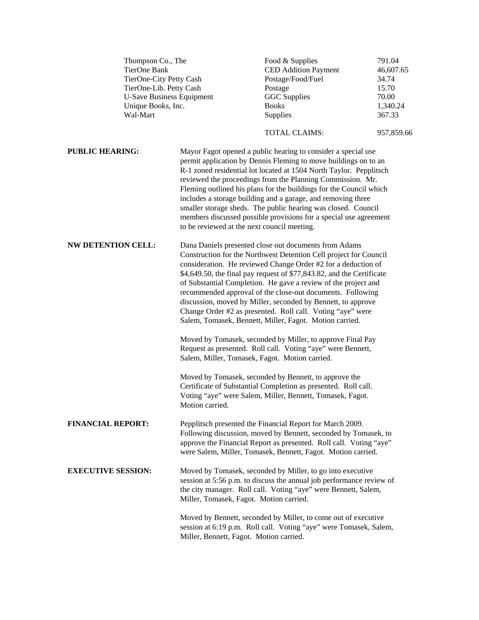|                           | Thompson Co., The<br>TierOne Bank<br>TierOne-City Petty Cash<br>TierOne-Lib. Petty Cash<br><b>U-Save Business Equipment</b><br>Unique Books, Inc.<br>Wal-Mart |                                                                                                                                                                                                                                                                                                                                                                                                                                                                                                                                                                                               | Food & Supplies<br><b>CED</b> Addition Payment<br>Postage/Food/Fuel<br>Postage<br><b>GGC</b> Supplies<br><b>Books</b><br>Supplies                                                                                                                                                                                                                                                                                                                                                                                                                | 791.04<br>46,607.65<br>34.74<br>15.70<br>70.00<br>1,340.24<br>367.33 |  |  |
|---------------------------|---------------------------------------------------------------------------------------------------------------------------------------------------------------|-----------------------------------------------------------------------------------------------------------------------------------------------------------------------------------------------------------------------------------------------------------------------------------------------------------------------------------------------------------------------------------------------------------------------------------------------------------------------------------------------------------------------------------------------------------------------------------------------|--------------------------------------------------------------------------------------------------------------------------------------------------------------------------------------------------------------------------------------------------------------------------------------------------------------------------------------------------------------------------------------------------------------------------------------------------------------------------------------------------------------------------------------------------|----------------------------------------------------------------------|--|--|
|                           |                                                                                                                                                               |                                                                                                                                                                                                                                                                                                                                                                                                                                                                                                                                                                                               | <b>TOTAL CLAIMS:</b>                                                                                                                                                                                                                                                                                                                                                                                                                                                                                                                             | 957,859.66                                                           |  |  |
| <b>PUBLIC HEARING:</b>    |                                                                                                                                                               | to be reviewed at the next council meeting.                                                                                                                                                                                                                                                                                                                                                                                                                                                                                                                                                   | Mayor Fagot opened a public hearing to consider a special use<br>permit application by Dennis Fleming to move buildings on to an<br>R-1 zoned residential lot located at 1504 North Taylor. Pepplitsch<br>reviewed the proceedings from the Planning Commission. Mr.<br>Fleming outlined his plans for the buildings for the Council which<br>includes a storage building and a garage, and removing three<br>smaller storage sheds. The public hearing was closed. Council<br>members discussed possible provisions for a special use agreement |                                                                      |  |  |
| <b>NW DETENTION CELL:</b> |                                                                                                                                                               | Dana Daniels presented close out documents from Adams<br>Construction for the Northwest Detention Cell project for Council<br>consideration. He reviewed Change Order #2 for a deduction of<br>\$4,649.50, the final pay request of \$77,843.82, and the Certificate<br>of Substantial Completion. He gave a review of the project and<br>recommended approval of the close-out documents. Following<br>discussion, moved by Miller, seconded by Bennett, to approve<br>Change Order #2 as presented. Roll call. Voting "aye" were<br>Salem, Tomasek, Bennett, Miller, Fagot. Motion carried. |                                                                                                                                                                                                                                                                                                                                                                                                                                                                                                                                                  |                                                                      |  |  |
|                           |                                                                                                                                                               | Moved by Tomasek, seconded by Miller, to approve Final Pay<br>Request as presented. Roll call. Voting "aye" were Bennett,<br>Salem, Miller, Tomasek, Fagot. Motion carried.                                                                                                                                                                                                                                                                                                                                                                                                                   |                                                                                                                                                                                                                                                                                                                                                                                                                                                                                                                                                  |                                                                      |  |  |
|                           |                                                                                                                                                               | Motion carried.                                                                                                                                                                                                                                                                                                                                                                                                                                                                                                                                                                               | Moved by Tomasek, seconded by Bennett, to approve the<br>Certificate of Substantial Completion as presented. Roll call.<br>Voting "aye" were Salem, Miller, Bennett, Tomasek, Fagot.                                                                                                                                                                                                                                                                                                                                                             |                                                                      |  |  |
| <b>FINANCIAL REPORT:</b>  |                                                                                                                                                               |                                                                                                                                                                                                                                                                                                                                                                                                                                                                                                                                                                                               | Pepplitsch presented the Financial Report for March 2009.<br>Following discussion, moved by Bennett, seconded by Tomasek, to<br>approve the Financial Report as presented. Roll call. Voting "aye"<br>were Salem, Miller, Tomasek, Bennett, Fagot. Motion carried.                                                                                                                                                                                                                                                                               |                                                                      |  |  |
| <b>EXECUTIVE SESSION:</b> |                                                                                                                                                               | Moved by Tomasek, seconded by Miller, to go into executive<br>session at 5:56 p.m. to discuss the annual job performance review of<br>the city manager. Roll call. Voting "aye" were Bennett, Salem,<br>Miller, Tomasek, Fagot. Motion carried.                                                                                                                                                                                                                                                                                                                                               |                                                                                                                                                                                                                                                                                                                                                                                                                                                                                                                                                  |                                                                      |  |  |
|                           |                                                                                                                                                               | Moved by Bennett, seconded by Miller, to come out of executive<br>session at 6:19 p.m. Roll call. Voting "aye" were Tomasek, Salem,<br>Miller, Bennett, Fagot. Motion carried.                                                                                                                                                                                                                                                                                                                                                                                                                |                                                                                                                                                                                                                                                                                                                                                                                                                                                                                                                                                  |                                                                      |  |  |